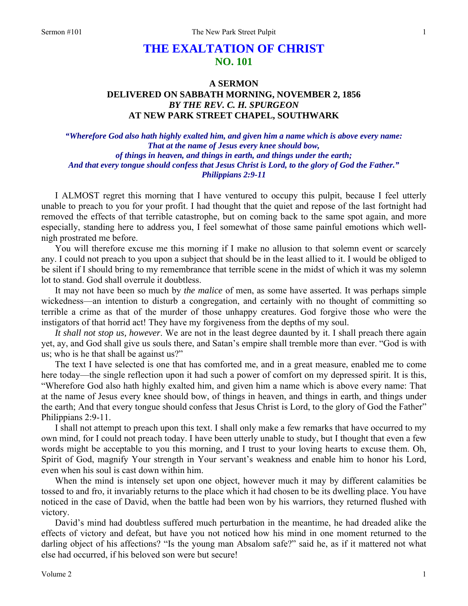# **THE EXALTATION OF CHRIST NO. 101**

## **A SERMON DELIVERED ON SABBATH MORNING, NOVEMBER 2, 1856**  *BY THE REV. C. H. SPURGEON*  **AT NEW PARK STREET CHAPEL, SOUTHWARK**

*"Wherefore God also hath highly exalted him, and given him a name which is above every name: That at the name of Jesus every knee should bow, of things in heaven, and things in earth, and things under the earth; And that every tongue should confess that Jesus Christ is Lord, to the glory of God the Father." Philippians 2:9-11* 

I ALMOST regret this morning that I have ventured to occupy this pulpit, because I feel utterly unable to preach to you for your profit. I had thought that the quiet and repose of the last fortnight had removed the effects of that terrible catastrophe, but on coming back to the same spot again, and more especially, standing here to address you, I feel somewhat of those same painful emotions which wellnigh prostrated me before.

You will therefore excuse me this morning if I make no allusion to that solemn event or scarcely any. I could not preach to you upon a subject that should be in the least allied to it. I would be obliged to be silent if I should bring to my remembrance that terrible scene in the midst of which it was my solemn lot to stand. God shall overrule it doubtless.

It may not have been so much by *the malice* of men, as some have asserted. It was perhaps simple wickedness—an intention to disturb a congregation, and certainly with no thought of committing so terrible a crime as that of the murder of those unhappy creatures. God forgive those who were the instigators of that horrid act! They have my forgiveness from the depths of my soul.

*It shall not stop us, however*. We are not in the least degree daunted by it. I shall preach there again yet, ay, and God shall give us souls there, and Satan's empire shall tremble more than ever. "God is with us; who is he that shall be against us?"

The text I have selected is one that has comforted me, and in a great measure, enabled me to come here today—the single reflection upon it had such a power of comfort on my depressed spirit. It is this, "Wherefore God also hath highly exalted him, and given him a name which is above every name: That at the name of Jesus every knee should bow, of things in heaven, and things in earth, and things under the earth; And that every tongue should confess that Jesus Christ is Lord, to the glory of God the Father" Philippians 2:9-11.

I shall not attempt to preach upon this text. I shall only make a few remarks that have occurred to my own mind, for I could not preach today. I have been utterly unable to study, but I thought that even a few words might be acceptable to you this morning, and I trust to your loving hearts to excuse them. Oh, Spirit of God, magnify Your strength in Your servant's weakness and enable him to honor his Lord, even when his soul is cast down within him.

When the mind is intensely set upon one object, however much it may by different calamities be tossed to and fro, it invariably returns to the place which it had chosen to be its dwelling place. You have noticed in the case of David, when the battle had been won by his warriors, they returned flushed with victory.

David's mind had doubtless suffered much perturbation in the meantime, he had dreaded alike the effects of victory and defeat, but have you not noticed how his mind in one moment returned to the darling object of his affections? "Is the young man Absalom safe?" said he, as if it mattered not what else had occurred, if his beloved son were but secure!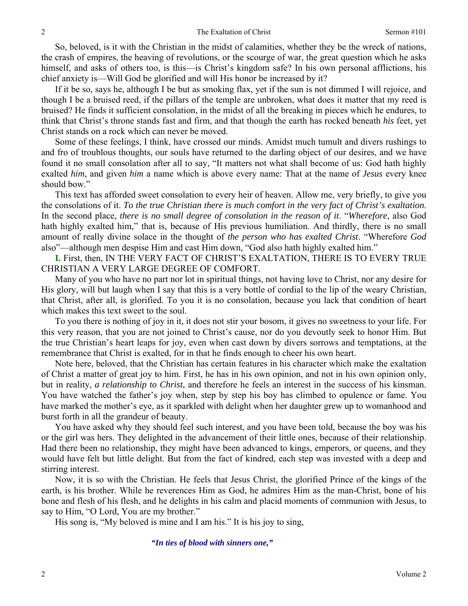So, beloved, is it with the Christian in the midst of calamities, whether they be the wreck of nations, the crash of empires, the heaving of revolutions, or the scourge of war, the great question which he asks himself, and asks of others too, is this—is Christ's kingdom safe? In his own personal afflictions, his chief anxiety is—Will God be glorified and will His honor be increased by it?

If it be so, says he, although I be but as smoking flax, yet if the sun is not dimmed I will rejoice, and though I be a bruised reed, if the pillars of the temple are unbroken, what does it matter that my reed is bruised? He finds it sufficient consolation, in the midst of all the breaking in pieces which he endures, to think that Christ's throne stands fast and firm, and that though the earth has rocked beneath *his* feet, yet Christ stands on a rock which can never be moved.

Some of these feelings, I think, have crossed our minds. Amidst much tumult and divers rushings to and fro of troublous thoughts, our souls have returned to the darling object of our desires, and we have found it no small consolation after all to say, "It matters not what shall become of us: God hath highly exalted *him*, and given *him* a name which is above every name: That at the name of *Jesus* every knee should bow."

This text has afforded sweet consolation to every heir of heaven. Allow me, very briefly, to give you the consolations of it. *To the true Christian there is much comfort in the very fact of Christ's exaltation*. In the second place, *there is no small degree of consolation in the reason of it*. "*Wherefore*, also God hath highly exalted him," that is, because of His previous humiliation. And thirdly, there is no small amount of really divine solace in the thought of *the person who has exalted Christ*. "Wherefore *God*  also"—although men despise Him and cast Him down, "God also hath highly exalted him."

**I.** First, then, IN THE VERY FACT OF CHRIST'S EXALTATION, THERE IS TO EVERY TRUE CHRISTIAN A VERY LARGE DEGREE OF COMFORT.

Many of you who have no part nor lot in spiritual things, not having love to Christ, nor any desire for His glory, will but laugh when I say that this is a very bottle of cordial to the lip of the weary Christian, that Christ, after all, is glorified. To you it is no consolation, because you lack that condition of heart which makes this text sweet to the soul.

To you there is nothing of joy in it, it does not stir your bosom, it gives no sweetness to your life. For this very reason, that you are not joined to Christ's cause, nor do you devoutly seek to honor Him. But the true Christian's heart leaps for joy, even when cast down by divers sorrows and temptations, at the remembrance that Christ is exalted, for in that he finds enough to cheer his own heart.

Note here, beloved, that the Christian has certain features in his character which make the exaltation of Christ a matter of great joy to him. First, he has in his own opinion, and not in his own opinion only, but in reality, *a relationship to Christ*, and therefore he feels an interest in the success of his kinsman. You have watched the father's joy when, step by step his boy has climbed to opulence or fame. You have marked the mother's eye, as it sparkled with delight when her daughter grew up to womanhood and burst forth in all the grandeur of beauty.

You have asked why they should feel such interest, and you have been told, because the boy was his or the girl was hers. They delighted in the advancement of their little ones, because of their relationship. Had there been no relationship, they might have been advanced to kings, emperors, or queens, and they would have felt but little delight. But from the fact of kindred, each step was invested with a deep and stirring interest.

Now, it is so with the Christian. He feels that Jesus Christ, the glorified Prince of the kings of the earth, is his brother. While he reverences Him as God, he admires Him as the man-Christ, bone of his bone and flesh of his flesh, and he delights in his calm and placid moments of communion with Jesus, to say to Him, "O Lord, You are my brother."

His song is, "My beloved is mine and I am his." It is his joy to sing,

*"In ties of blood with sinners one,"*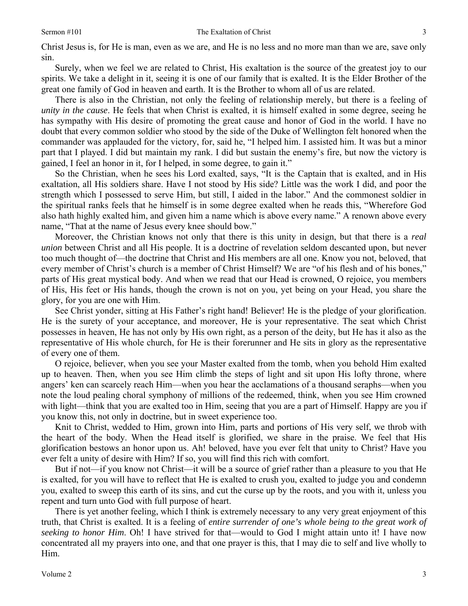Christ Jesus is, for He is man, even as we are, and He is no less and no more man than we are, save only sin.

Surely, when we feel we are related to Christ, His exaltation is the source of the greatest joy to our spirits. We take a delight in it, seeing it is one of our family that is exalted. It is the Elder Brother of the great one family of God in heaven and earth. It is the Brother to whom all of us are related.

There is also in the Christian, not only the feeling of relationship merely, but there is a feeling of *unity in the cause*. He feels that when Christ is exalted, it is himself exalted in some degree, seeing he has sympathy with His desire of promoting the great cause and honor of God in the world. I have no doubt that every common soldier who stood by the side of the Duke of Wellington felt honored when the commander was applauded for the victory, for, said he, "I helped him. I assisted him. It was but a minor part that I played. I did but maintain my rank. I did but sustain the enemy's fire, but now the victory is gained, I feel an honor in it, for I helped, in some degree, to gain it."

So the Christian, when he sees his Lord exalted, says, "It is the Captain that is exalted, and in His exaltation, all His soldiers share. Have I not stood by His side? Little was the work I did, and poor the strength which I possessed to serve Him, but still, I aided in the labor." And the commonest soldier in the spiritual ranks feels that he himself is in some degree exalted when he reads this, "Wherefore God also hath highly exalted him, and given him a name which is above every name." A renown above every name, "That at the name of Jesus every knee should bow."

Moreover, the Christian knows not only that there is this unity in design, but that there is a *real union* between Christ and all His people. It is a doctrine of revelation seldom descanted upon, but never too much thought of—the doctrine that Christ and His members are all one. Know you not, beloved, that every member of Christ's church is a member of Christ Himself? We are "of his flesh and of his bones," parts of His great mystical body. And when we read that our Head is crowned, O rejoice, you members of His, His feet or His hands, though the crown is not on you, yet being on your Head, you share the glory, for you are one with Him.

See Christ yonder, sitting at His Father's right hand! Believer! He is the pledge of your glorification. He is the surety of your acceptance, and moreover, He is your representative. The seat which Christ possesses in heaven, He has not only by His own right, as a person of the deity, but He has it also as the representative of His whole church, for He is their forerunner and He sits in glory as the representative of every one of them.

O rejoice, believer, when you see your Master exalted from the tomb, when you behold Him exalted up to heaven. Then, when you see Him climb the steps of light and sit upon His lofty throne, where angers' ken can scarcely reach Him—when you hear the acclamations of a thousand seraphs—when you note the loud pealing choral symphony of millions of the redeemed, think, when you see Him crowned with light—think that you are exalted too in Him, seeing that you are a part of Himself. Happy are you if you know this, not only in doctrine, but in sweet experience too.

Knit to Christ, wedded to Him, grown into Him, parts and portions of His very self, we throb with the heart of the body. When the Head itself is glorified, we share in the praise. We feel that His glorification bestows an honor upon us. Ah! beloved, have you ever felt that unity to Christ? Have you ever felt a unity of desire with Him? If so, you will find this rich with comfort.

But if not—if you know not Christ—it will be a source of grief rather than a pleasure to you that He is exalted, for you will have to reflect that He is exalted to crush you, exalted to judge you and condemn you, exalted to sweep this earth of its sins, and cut the curse up by the roots, and you with it, unless you repent and turn unto God with full purpose of heart.

There is yet another feeling, which I think is extremely necessary to any very great enjoyment of this truth, that Christ is exalted. It is a feeling of *entire surrender of one's whole being to the great work of seeking to honor Him*. Oh! I have strived for that—would to God I might attain unto it! I have now concentrated all my prayers into one, and that one prayer is this, that I may die to self and live wholly to Him.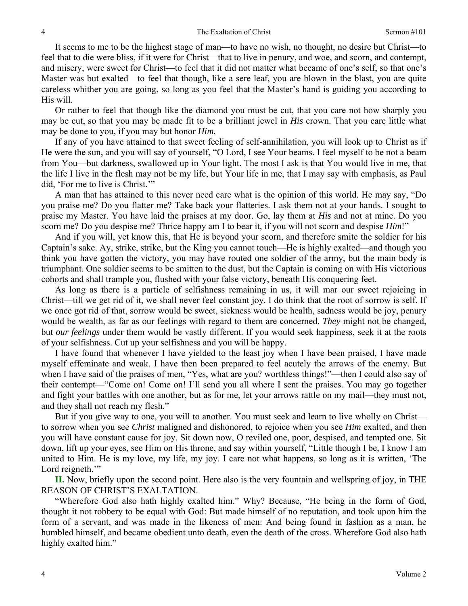It seems to me to be the highest stage of man—to have no wish, no thought, no desire but Christ—to feel that to die were bliss, if it were for Christ—that to live in penury, and woe, and scorn, and contempt, and misery, were sweet for Christ—to feel that it did not matter what became of one's self, so that one's Master was but exalted—to feel that though, like a sere leaf, you are blown in the blast, you are quite careless whither you are going, so long as you feel that the Master's hand is guiding you according to His will.

Or rather to feel that though like the diamond you must be cut, that you care not how sharply you may be cut, so that you may be made fit to be a brilliant jewel in *His* crown. That you care little what may be done to you, if you may but honor *Him.* 

If any of you have attained to that sweet feeling of self-annihilation, you will look up to Christ as if He were the sun, and you will say of yourself, "O Lord, I see Your beams. I feel myself to be not a beam from You—but darkness, swallowed up in Your light. The most I ask is that You would live in me, that the life I live in the flesh may not be my life, but Your life in me, that I may say with emphasis, as Paul did, 'For me to live is Christ.'"

A man that has attained to this never need care what is the opinion of this world. He may say, "Do you praise me? Do you flatter me? Take back your flatteries. I ask them not at your hands. I sought to praise my Master. You have laid the praises at my door. Go, lay them at *His* and not at mine. Do you scorn me? Do you despise me? Thrice happy am I to bear it, if you will not scorn and despise *Him*!"

And if you will, yet know this, that He is beyond your scorn, and therefore smite the soldier for his Captain's sake. Ay, strike, strike, but the King you cannot touch—He is highly exalted—and though you think you have gotten the victory, you may have routed one soldier of the army, but the main body is triumphant. One soldier seems to be smitten to the dust, but the Captain is coming on with His victorious cohorts and shall trample you, flushed with your false victory, beneath His conquering feet.

As long as there is a particle of selfishness remaining in us, it will mar our sweet rejoicing in Christ—till we get rid of it, we shall never feel constant joy. I do think that the root of sorrow is self. If we once got rid of that, sorrow would be sweet, sickness would be health, sadness would be joy, penury would be wealth, as far as our feelings with regard to them are concerned. *They* might not be changed, but *our feelings* under them would be vastly different. If you would seek happiness, seek it at the roots of your selfishness. Cut up your selfishness and you will be happy.

I have found that whenever I have yielded to the least joy when I have been praised, I have made myself effeminate and weak. I have then been prepared to feel acutely the arrows of the enemy. But when I have said of the praises of men, "Yes, what are you? worthless things!"—then I could also say of their contempt—"Come on! Come on! I'll send you all where I sent the praises. You may go together and fight your battles with one another, but as for me, let your arrows rattle on my mail—they must not, and they shall not reach my flesh."

But if you give way to one, you will to another. You must seek and learn to live wholly on Christ to sorrow when you see *Christ* maligned and dishonored, to rejoice when you see *Him* exalted, and then you will have constant cause for joy. Sit down now, O reviled one, poor, despised, and tempted one. Sit down, lift up your eyes, see Him on His throne, and say within yourself, "Little though I be, I know I am united to Him. He is my love, my life, my joy. I care not what happens, so long as it is written, 'The Lord reigneth."

**II.** Now, briefly upon the second point. Here also is the very fountain and wellspring of joy, in THE REASON OF CHRIST'S EXALTATION.

"Wherefore God also hath highly exalted him." Why? Because, "He being in the form of God, thought it not robbery to be equal with God: But made himself of no reputation, and took upon him the form of a servant, and was made in the likeness of men: And being found in fashion as a man, he humbled himself, and became obedient unto death, even the death of the cross. Wherefore God also hath highly exalted him."

4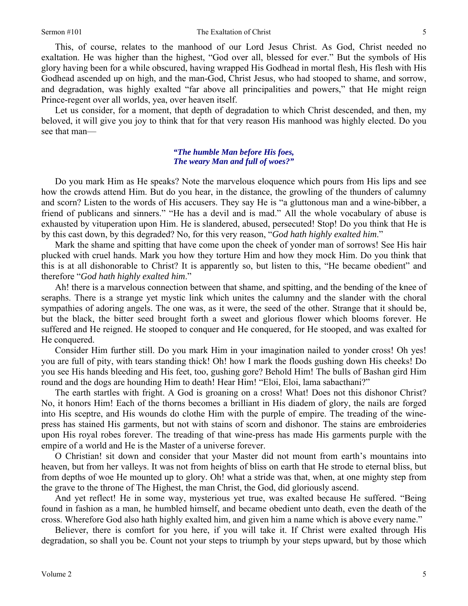This, of course, relates to the manhood of our Lord Jesus Christ. As God, Christ needed no exaltation. He was higher than the highest, "God over all, blessed for ever." But the symbols of His glory having been for a while obscured, having wrapped His Godhead in mortal flesh, His flesh with His Godhead ascended up on high, and the man-God, Christ Jesus, who had stooped to shame, and sorrow, and degradation, was highly exalted "far above all principalities and powers," that He might reign Prince-regent over all worlds, yea, over heaven itself.

Let us consider, for a moment, that depth of degradation to which Christ descended, and then, my beloved, it will give you joy to think that for that very reason His manhood was highly elected. Do you see that man—

### *"The humble Man before His foes, The weary Man and full of woes?"*

Do you mark Him as He speaks? Note the marvelous eloquence which pours from His lips and see how the crowds attend Him. But do you hear, in the distance, the growling of the thunders of calumny and scorn? Listen to the words of His accusers. They say He is "a gluttonous man and a wine-bibber, a friend of publicans and sinners." "He has a devil and is mad." All the whole vocabulary of abuse is exhausted by vituperation upon Him. He is slandered, abused, persecuted! Stop! Do you think that He is by this cast down, by this degraded? No, for this very reason, "*God hath highly exalted him*."

Mark the shame and spitting that have come upon the cheek of yonder man of sorrows! See His hair plucked with cruel hands. Mark you how they torture Him and how they mock Him. Do you think that this is at all dishonorable to Christ? It is apparently so, but listen to this, "He became obedient" and therefore "*God hath highly exalted him*."

Ah! there is a marvelous connection between that shame, and spitting, and the bending of the knee of seraphs. There is a strange yet mystic link which unites the calumny and the slander with the choral sympathies of adoring angels. The one was, as it were, the seed of the other. Strange that it should be, but the black, the bitter seed brought forth a sweet and glorious flower which blooms forever. He suffered and He reigned. He stooped to conquer and He conquered, for He stooped, and was exalted for He conquered.

Consider Him further still. Do you mark Him in your imagination nailed to yonder cross! Oh yes! you are full of pity, with tears standing thick! Oh! how I mark the floods gushing down His cheeks! Do you see His hands bleeding and His feet, too, gushing gore? Behold Him! The bulls of Bashan gird Him round and the dogs are hounding Him to death! Hear Him! "Eloi, Eloi, lama sabacthani?"

The earth startles with fright. A God is groaning on a cross! What! Does not this dishonor Christ? No, it honors Him! Each of the thorns becomes a brilliant in His diadem of glory, the nails are forged into His sceptre, and His wounds do clothe Him with the purple of empire. The treading of the winepress has stained His garments, but not with stains of scorn and dishonor. The stains are embroideries upon His royal robes forever. The treading of that wine-press has made His garments purple with the empire of a world and He is the Master of a universe forever.

O Christian! sit down and consider that your Master did not mount from earth's mountains into heaven, but from her valleys. It was not from heights of bliss on earth that He strode to eternal bliss, but from depths of woe He mounted up to glory. Oh! what a stride was that, when, at one mighty step from the grave to the throne of The Highest, the man Christ, the God, did gloriously ascend.

And yet reflect! He in some way, mysterious yet true, was exalted because He suffered. "Being found in fashion as a man, he humbled himself, and became obedient unto death, even the death of the cross. Wherefore God also hath highly exalted him, and given him a name which is above every name."

Believer, there is comfort for you here, if you will take it. If Christ were exalted through His degradation, so shall you be. Count not your steps to triumph by your steps upward, but by those which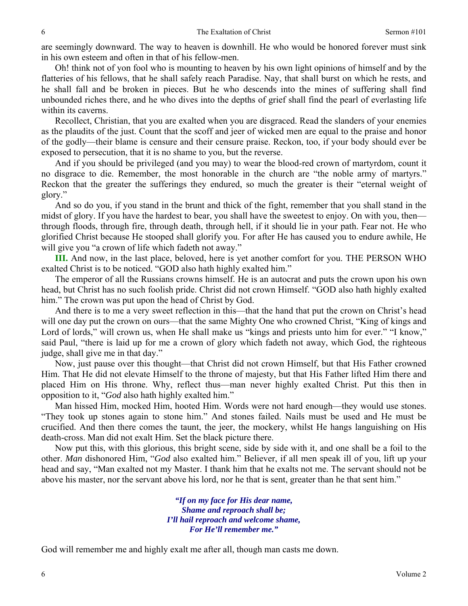are seemingly downward. The way to heaven is downhill. He who would be honored forever must sink in his own esteem and often in that of his fellow-men.

Oh! think not of yon fool who is mounting to heaven by his own light opinions of himself and by the flatteries of his fellows, that he shall safely reach Paradise. Nay, that shall burst on which he rests, and he shall fall and be broken in pieces. But he who descends into the mines of suffering shall find unbounded riches there, and he who dives into the depths of grief shall find the pearl of everlasting life within its caverns.

Recollect, Christian, that you are exalted when you are disgraced. Read the slanders of your enemies as the plaudits of the just. Count that the scoff and jeer of wicked men are equal to the praise and honor of the godly—their blame is censure and their censure praise. Reckon, too, if your body should ever be exposed to persecution, that it is no shame to you, but the reverse.

And if you should be privileged (and you may) to wear the blood-red crown of martyrdom, count it no disgrace to die. Remember, the most honorable in the church are "the noble army of martyrs." Reckon that the greater the sufferings they endured, so much the greater is their "eternal weight of glory."

And so do you, if you stand in the brunt and thick of the fight, remember that you shall stand in the midst of glory. If you have the hardest to bear, you shall have the sweetest to enjoy. On with you, then through floods, through fire, through death, through hell, if it should lie in your path. Fear not. He who glorified Christ because He stooped shall glorify you. For after He has caused you to endure awhile, He will give you "a crown of life which fadeth not away."

**III.** And now, in the last place, beloved, here is yet another comfort for you. THE PERSON WHO exalted Christ is to be noticed. "GOD also hath highly exalted him."

The emperor of all the Russians crowns himself. He is an autocrat and puts the crown upon his own head, but Christ has no such foolish pride. Christ did not crown Himself. "GOD also hath highly exalted him." The crown was put upon the head of Christ by God.

And there is to me a very sweet reflection in this—that the hand that put the crown on Christ's head will one day put the crown on ours—that the same Mighty One who crowned Christ, "King of kings and Lord of lords," will crown us, when He shall make us "kings and priests unto him for ever." "I know," said Paul, "there is laid up for me a crown of glory which fadeth not away, which God, the righteous judge, shall give me in that day."

Now, just pause over this thought—that Christ did not crown Himself, but that His Father crowned Him. That He did not elevate Himself to the throne of majesty, but that His Father lifted Him there and placed Him on His throne. Why, reflect thus—man never highly exalted Christ. Put this then in opposition to it, "*God* also hath highly exalted him."

Man hissed Him, mocked Him, hooted Him. Words were not hard enough—they would use stones. "They took up stones again to stone him." And stones failed. Nails must be used and He must be crucified. And then there comes the taunt, the jeer, the mockery, whilst He hangs languishing on His death-cross. Man did not exalt Him. Set the black picture there.

Now put this, with this glorious, this bright scene, side by side with it, and one shall be a foil to the other. *Man* dishonored Him, "*God* also exalted him." Believer, if all men speak ill of you, lift up your head and say, "Man exalted not my Master. I thank him that he exalts not me. The servant should not be above his master, nor the servant above his lord, nor he that is sent, greater than he that sent him."

> *"If on my face for His dear name, Shame and reproach shall be; I'll hail reproach and welcome shame, For He'll remember me."*

God will remember me and highly exalt me after all, though man casts me down.

6

6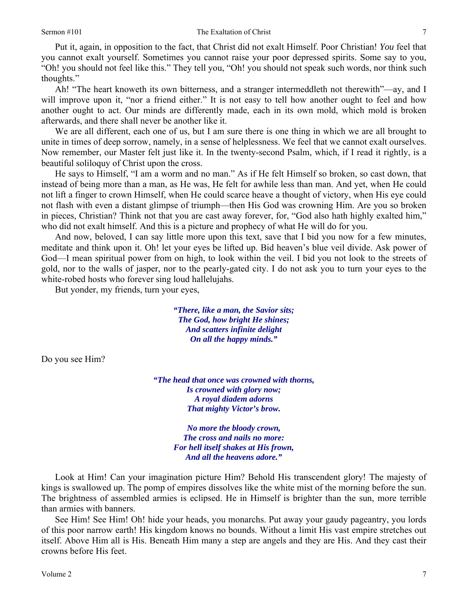Put it, again, in opposition to the fact, that Christ did not exalt Himself. Poor Christian! *You* feel that you cannot exalt yourself. Sometimes you cannot raise your poor depressed spirits. Some say to you, "Oh! you should not feel like this." They tell you, "Oh! you should not speak such words, nor think such thoughts."

Ah! "The heart knoweth its own bitterness, and a stranger intermeddleth not therewith"—ay, and I will improve upon it, "nor a friend either." It is not easy to tell how another ought to feel and how another ought to act. Our minds are differently made, each in its own mold, which mold is broken afterwards, and there shall never be another like it.

We are all different, each one of us, but I am sure there is one thing in which we are all brought to unite in times of deep sorrow, namely, in a sense of helplessness. We feel that we cannot exalt ourselves. Now remember, our Master felt just like it. In the twenty-second Psalm, which, if I read it rightly, is a beautiful soliloquy of Christ upon the cross.

He says to Himself, "I am a worm and no man." As if He felt Himself so broken, so cast down, that instead of being more than a man, as He was, He felt for awhile less than man. And yet, when He could not lift a finger to crown Himself, when He could scarce heave a thought of victory, when His eye could not flash with even a distant glimpse of triumph—then His God was crowning Him. Are you so broken in pieces, Christian? Think not that you are cast away forever, for, "God also hath highly exalted him," who did not exalt himself. And this is a picture and prophecy of what He will do for you.

And now, beloved, I can say little more upon this text, save that I bid you now for a few minutes, meditate and think upon it. Oh! let your eyes be lifted up. Bid heaven's blue veil divide. Ask power of God—I mean spiritual power from on high, to look within the veil. I bid you not look to the streets of gold, nor to the walls of jasper, nor to the pearly-gated city. I do not ask you to turn your eyes to the white-robed hosts who forever sing loud hallelujahs.

But yonder, my friends, turn your eyes,

*"There, like a man, the Savior sits; The God, how bright He shines; And scatters infinite delight On all the happy minds."* 

Do you see Him?

*"The head that once was crowned with thorns, Is crowned with glory now; A royal diadem adorns That mighty Victor's brow.* 

> *No more the bloody crown, The cross and nails no more: For hell itself shakes at His frown, And all the heavens adore."*

Look at Him! Can your imagination picture Him? Behold His transcendent glory! The majesty of kings is swallowed up. The pomp of empires dissolves like the white mist of the morning before the sun. The brightness of assembled armies is eclipsed. He in Himself is brighter than the sun, more terrible than armies with banners.

See Him! See Him! Oh! hide your heads, you monarchs. Put away your gaudy pageantry, you lords of this poor narrow earth! His kingdom knows no bounds. Without a limit His vast empire stretches out itself. Above Him all is His. Beneath Him many a step are angels and they are His. And they cast their crowns before His feet.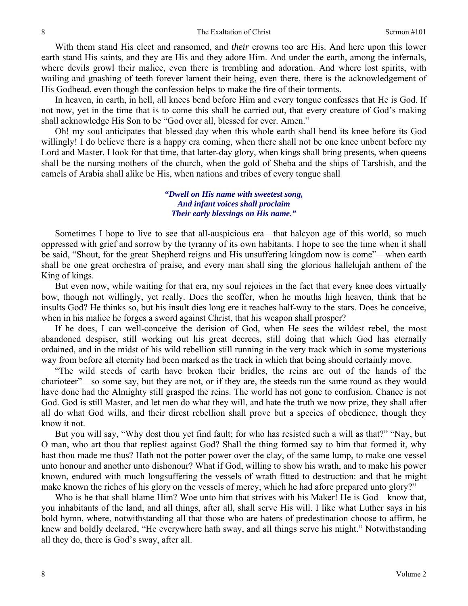With them stand His elect and ransomed, and *their* crowns too are His. And here upon this lower earth stand His saints, and they are His and they adore Him. And under the earth, among the infernals, where devils growl their malice, even there is trembling and adoration. And where lost spirits, with wailing and gnashing of teeth forever lament their being, even there, there is the acknowledgement of His Godhead, even though the confession helps to make the fire of their torments.

In heaven, in earth, in hell, all knees bend before Him and every tongue confesses that He is God. If not now, yet in the time that is to come this shall be carried out, that every creature of God's making shall acknowledge His Son to be "God over all, blessed for ever. Amen."

Oh! my soul anticipates that blessed day when this whole earth shall bend its knee before its God willingly! I do believe there is a happy era coming, when there shall not be one knee unbent before my Lord and Master. I look for that time, that latter-day glory, when kings shall bring presents, when queens shall be the nursing mothers of the church, when the gold of Sheba and the ships of Tarshish, and the camels of Arabia shall alike be His, when nations and tribes of every tongue shall

### *"Dwell on His name with sweetest song, And infant voices shall proclaim Their early blessings on His name."*

Sometimes I hope to live to see that all-auspicious era—that halcyon age of this world, so much oppressed with grief and sorrow by the tyranny of its own habitants. I hope to see the time when it shall be said, "Shout, for the great Shepherd reigns and His unsuffering kingdom now is come"—when earth shall be one great orchestra of praise, and every man shall sing the glorious hallelujah anthem of the King of kings.

But even now, while waiting for that era, my soul rejoices in the fact that every knee does virtually bow, though not willingly, yet really. Does the scoffer, when he mouths high heaven, think that he insults God? He thinks so, but his insult dies long ere it reaches half-way to the stars. Does he conceive, when in his malice he forges a sword against Christ, that his weapon shall prosper?

If he does, I can well-conceive the derision of God, when He sees the wildest rebel, the most abandoned despiser, still working out his great decrees, still doing that which God has eternally ordained, and in the midst of his wild rebellion still running in the very track which in some mysterious way from before all eternity had been marked as the track in which that being should certainly move.

"The wild steeds of earth have broken their bridles, the reins are out of the hands of the charioteer"—so some say, but they are not, or if they are, the steeds run the same round as they would have done had the Almighty still grasped the reins. The world has not gone to confusion. Chance is not God. God is still Master, and let men do what they will, and hate the truth we now prize, they shall after all do what God wills, and their direst rebellion shall prove but a species of obedience, though they know it not.

But you will say, "Why dost thou yet find fault; for who has resisted such a will as that?" "Nay, but O man, who art thou that repliest against God? Shall the thing formed say to him that formed it, why hast thou made me thus? Hath not the potter power over the clay, of the same lump, to make one vessel unto honour and another unto dishonour? What if God, willing to show his wrath, and to make his power known, endured with much longsuffering the vessels of wrath fitted to destruction: and that he might make known the riches of his glory on the vessels of mercy, which he had afore prepared unto glory?"

Who is he that shall blame Him? Woe unto him that strives with his Maker! He is God—know that, you inhabitants of the land, and all things, after all, shall serve His will. I like what Luther says in his bold hymn, where, notwithstanding all that those who are haters of predestination choose to affirm, he knew and boldly declared, "He everywhere hath sway, and all things serve his might." Notwithstanding all they do, there is God's sway, after all.